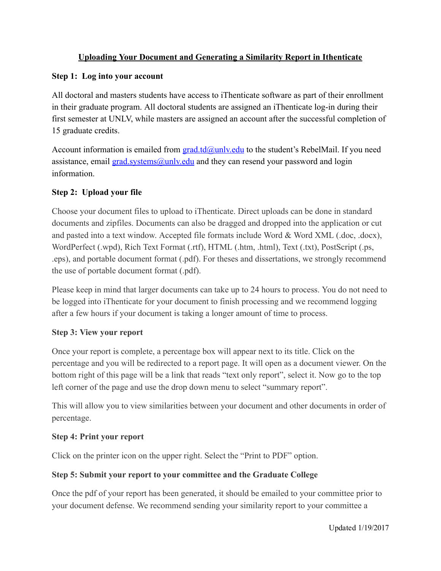# Uploading Your Document and Generating a Similarity Report in Ithenticate

#### Step 1: Log into your account

 All doctoral and masters students have access to iThenticate software as part of their enrollment in their graduate program. All doctoral students are assigned an iThenticate log-in during their first semester at UNLV, while masters are assigned an account after the successful completion of 15 graduate credits.

Account information is emailed from **[grad.td@unlv.edu](mailto:grad.td@unlv.edu)** to the student's RebelMail. If you need assistance, email **[grad.systems@unlv.edu](mailto:grad.systems@unlv.edu)** and they can resend your password and login information.

## Step 2: Upload your file

 Choose your document files to upload to iThenticate. Direct uploads can be done in standard documents and zipfiles. Documents can also be dragged and dropped into the application or cut and pasted into a text window. Accepted file formats include Word & Word XML (.doc, .docx), WordPerfect (.wpd), Rich Text Format (.rtf), HTML (.htm, .html), Text (.txt), PostScript (.ps, .eps), and portable document format (.pdf). For theses and dissertations, we strongly recommend the use of portable document format (.pdf).

 Please keep in mind that larger documents can take up to 24 hours to process. You do not need to be logged into iThenticate for your document to finish processing and we recommend logging after a few hours if your document is taking a longer amount of time to process.

### Step 3: View your report

 Once your report is complete, a percentage box will appear next to its title. Click on the percentage and you will be redirected to a report page. It will open as a document viewer. On the bottom right of this page will be a link that reads "text only report", select it. Now go to the top left corner of the page and use the drop down menu to select "summary report".

 This will allow you to view similarities between your document and other documents in order of percentage.

### Step 4: Print your report

Click on the printer icon on the upper right. Select the "Print to PDF" option.

### Step 5: Submit your report to your committee and the Graduate College

 Once the pdf of your report has been generated, it should be emailed to your committee prior to your document defense. We recommend sending your similarity report to your committee a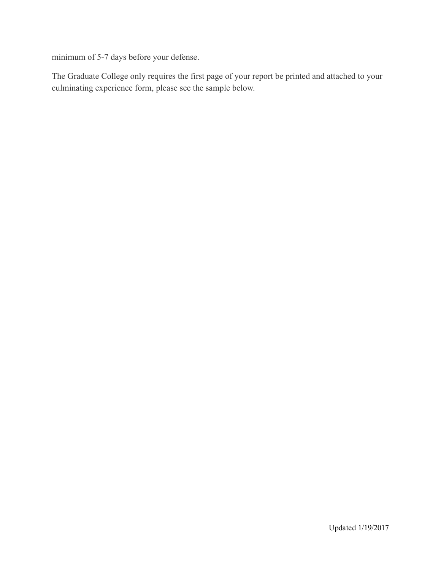minimum of 5-7 days before your defense.

 The Graduate College only requires the first page of your report be printed and attached to your culminating experience form, please see the sample below.